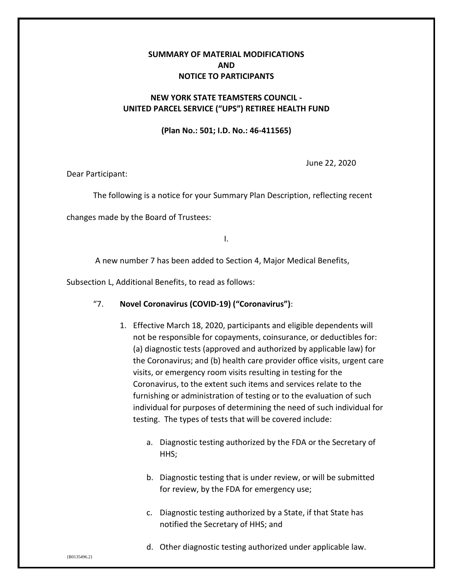# **SUMMARY OF MATERIAL MODIFICATIONS AND NOTICE TO PARTICIPANTS**

## **NEW YORK STATE TEAMSTERS COUNCIL - UNITED PARCEL SERVICE ("UPS") RETIREE HEALTH FUND**

#### **(Plan No.: 501; I.D. No.: 46-411565)**

June 22, 2020

Dear Participant:

The following is a notice for your Summary Plan Description, reflecting recent

changes made by the Board of Trustees:

I.

A new number 7 has been added to Section 4, Major Medical Benefits,

Subsection L, Additional Benefits, to read as follows:

- "7. **Novel Coronavirus (COVID-19) ("Coronavirus")**:
	- 1. Effective March 18, 2020, participants and eligible dependents will not be responsible for copayments, coinsurance, or deductibles for: (a) diagnostic tests (approved and authorized by applicable law) for the Coronavirus; and (b) health care provider office visits, urgent care visits, or emergency room visits resulting in testing for the Coronavirus, to the extent such items and services relate to the furnishing or administration of testing or to the evaluation of such individual for purposes of determining the need of such individual for testing. The types of tests that will be covered include:
		- a. Diagnostic testing authorized by the FDA or the Secretary of HHS;
		- b. Diagnostic testing that is under review, or will be submitted for review, by the FDA for emergency use;
		- c. Diagnostic testing authorized by a State, if that State has notified the Secretary of HHS; and
		- d. Other diagnostic testing authorized under applicable law.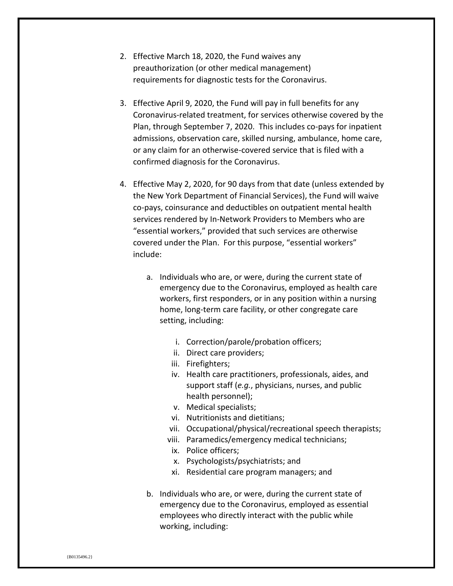- 2. Effective March 18, 2020, the Fund waives any preauthorization (or other medical management) requirements for diagnostic tests for the Coronavirus.
- 3. Effective April 9, 2020, the Fund will pay in full benefits for any Coronavirus-related treatment, for services otherwise covered by the Plan, through September 7, 2020. This includes co-pays for inpatient admissions, observation care, skilled nursing, ambulance, home care, or any claim for an otherwise-covered service that is filed with a confirmed diagnosis for the Coronavirus.
- 4. Effective May 2, 2020, for 90 days from that date (unless extended by the New York Department of Financial Services), the Fund will waive co-pays, coinsurance and deductibles on outpatient mental health services rendered by In-Network Providers to Members who are "essential workers," provided that such services are otherwise covered under the Plan. For this purpose, "essential workers" include:
	- a. Individuals who are, or were, during the current state of emergency due to the Coronavirus, employed as health care workers, first responders, or in any position within a nursing home, long-term care facility, or other congregate care setting, including:
		- i. Correction/parole/probation officers;
		- ii. Direct care providers;
		- iii. Firefighters;
		- iv. Health care practitioners, professionals, aides, and support staff (*e.g.*, physicians, nurses, and public health personnel);
		- v. Medical specialists;
		- vi. Nutritionists and dietitians;
		- vii. Occupational/physical/recreational speech therapists;
		- viii. Paramedics/emergency medical technicians;
		- ix. Police officers;
		- x. Psychologists/psychiatrists; and
		- xi. Residential care program managers; and
	- b. Individuals who are, or were, during the current state of emergency due to the Coronavirus, employed as essential employees who directly interact with the public while working, including: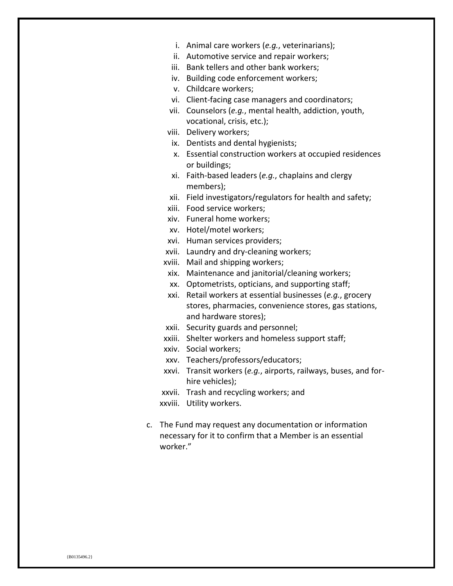- i. Animal care workers (*e.g.*, veterinarians);
- ii. Automotive service and repair workers;
- iii. Bank tellers and other bank workers;
- iv. Building code enforcement workers;
- v. Childcare workers;
- vi. Client-facing case managers and coordinators;
- vii. Counselors (*e.g.*, mental health, addiction, youth, vocational, crisis, etc.);
- viii. Delivery workers;
- ix. Dentists and dental hygienists;
- x. Essential construction workers at occupied residences or buildings;
- xi. Faith-based leaders (*e.g.*, chaplains and clergy members);
- xii. Field investigators/regulators for health and safety;
- xiii. Food service workers;
- xiv. Funeral home workers;
- xv. Hotel/motel workers;
- xvi. Human services providers;
- xvii. Laundry and dry-cleaning workers;
- xviii. Mail and shipping workers;
- xix. Maintenance and janitorial/cleaning workers;
- xx. Optometrists, opticians, and supporting staff;
- xxi. Retail workers at essential businesses (*e.g.*, grocery stores, pharmacies, convenience stores, gas stations, and hardware stores);
- xxii. Security guards and personnel;
- xxiii. Shelter workers and homeless support staff;
- xxiv. Social workers;
- xxv. Teachers/professors/educators;
- xxvi. Transit workers (*e.g.*, airports, railways, buses, and forhire vehicles);
- xxvii. Trash and recycling workers; and
- xxviii. Utility workers.
- c. The Fund may request any documentation or information necessary for it to confirm that a Member is an essential worker."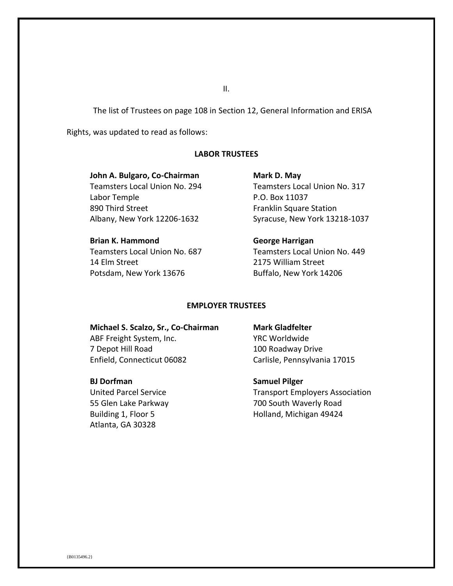The list of Trustees on page 108 in Section 12, General Information and ERISA

Rights, was updated to read as follows:

## **LABOR TRUSTEES**

**John A. Bulgaro, Co-Chairman**  Teamsters Local Union No. 294 Labor Temple 890 Third Street Albany, New York 12206-1632

**Brian K. Hammond** Teamsters Local Union No. 687 14 Elm Street Potsdam, New York 13676

**Mark D. May**  Teamsters Local Union No. 317 P.O. Box 11037 Franklin Square Station Syracuse, New York 13218-1037

**George Harrigan**  Teamsters Local Union No. 449 2175 William Street Buffalo, New York 14206

## **EMPLOYER TRUSTEES**

**Michael S. Scalzo, Sr., Co-Chairman**  ABF Freight System, Inc. 7 Depot Hill Road Enfield, Connecticut 06082

## **BJ Dorfman**

United Parcel Service 55 Glen Lake Parkway Building 1, Floor 5 Atlanta, GA 30328

#### **Mark Gladfelter**

YRC Worldwide 100 Roadway Drive Carlisle, Pennsylvania 17015

**Samuel Pilger** 

Transport Employers Association 700 South Waverly Road Holland, Michigan 49424